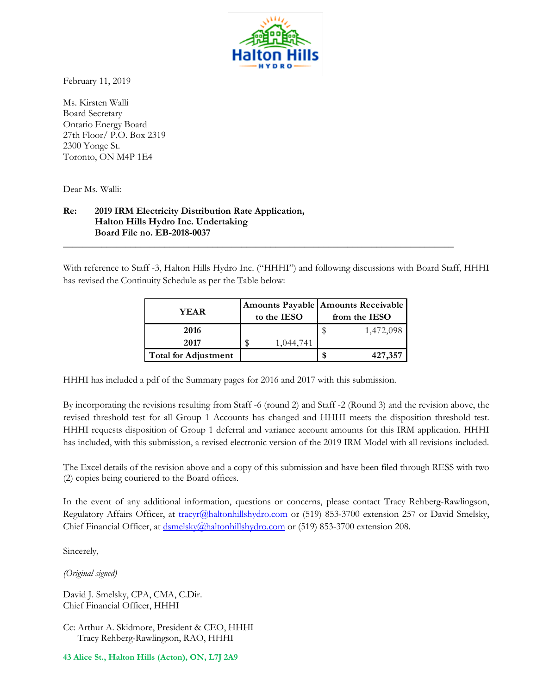

February 11, 2019

Ms. Kirsten Walli Board Secretary Ontario Energy Board 27th Floor/ P.O. Box 2319 2300 Yonge St. Toronto, ON M4P 1E4

Dear Ms. Walli:

## **Re: 2019 IRM Electricity Distribution Rate Application, Halton Hills Hydro Inc. Undertaking Board File no. EB-2018-0037**

With reference to Staff -3, Halton Hills Hydro Inc. ("HHHI") and following discussions with Board Staff, HHHI has revised the Continuity Schedule as per the Table below:

**\_\_\_\_\_\_\_\_\_\_\_\_\_\_\_\_\_\_\_\_\_\_\_\_\_\_\_\_\_\_\_\_\_\_\_\_\_\_\_\_\_\_\_\_\_\_\_\_\_\_\_\_\_\_\_\_\_\_\_\_\_\_\_\_\_\_\_\_\_\_\_\_\_\_\_\_\_\_\_\_\_**

| YEAR.                       | to the IESO | Amounts Payable   Amounts Receivable  <br>from the IESO |           |  |  |  |  |
|-----------------------------|-------------|---------------------------------------------------------|-----------|--|--|--|--|
| 2016                        |             |                                                         | 1,472,098 |  |  |  |  |
| 2017                        | 1,044,741   |                                                         |           |  |  |  |  |
| <b>Total for Adjustment</b> |             |                                                         | 427,357   |  |  |  |  |

HHHI has included a pdf of the Summary pages for 2016 and 2017 with this submission.

By incorporating the revisions resulting from Staff -6 (round 2) and Staff -2 (Round 3) and the revision above, the revised threshold test for all Group 1 Accounts has changed and HHHI meets the disposition threshold test. HHHI requests disposition of Group 1 deferral and variance account amounts for this IRM application. HHHI has included, with this submission, a revised electronic version of the 2019 IRM Model with all revisions included.

The Excel details of the revision above and a copy of this submission and have been filed through RESS with two (2) copies being couriered to the Board offices.

In the event of any additional information, questions or concerns, please contact Tracy Rehberg-Rawlingson, Regulatory Affairs Officer, at [tracyr@haltonhillshydro.com](mailto:tracyr@haltonhillshydro.com) or (519) 853-3700 extension 257 or David Smelsky, Chief Financial Officer, at [dsmelsky@haltonhillshydro.com](mailto:dsmelsky@haltonhillshydro.com) or (519) 853-3700 extension 208.

Sincerely,

*(Original signed)*

David J. Smelsky, CPA, CMA, C.Dir. Chief Financial Officer, HHHI

Cc: Arthur A. Skidmore, President & CEO, HHHI Tracy Rehberg-Rawlingson, RAO, HHHI

**43 Alice St., Halton Hills (Acton), ON, L7J 2A9**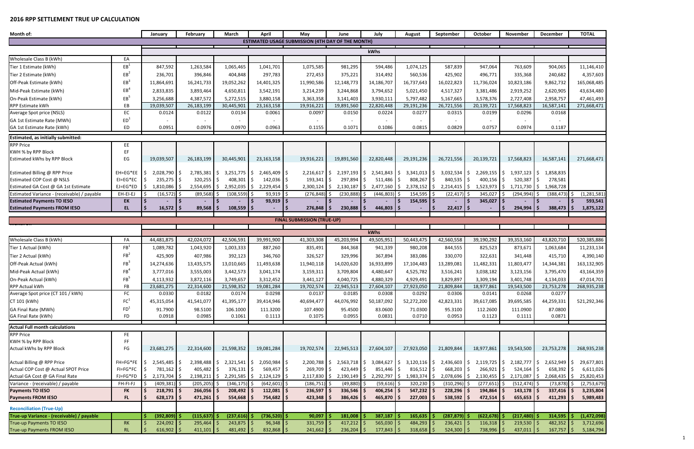## **2016 RPP SETTLEMENT TRUE UP CALCULATION**

| Month of:                                                           | May<br>January<br>February<br>March<br>April |                                 |                         |                 |                                                          | June                              | July                                                |                               | September                    | October                         | November                          | <b>December</b>              | <b>TOTAL</b>                     |                           |  |
|---------------------------------------------------------------------|----------------------------------------------|---------------------------------|-------------------------|-----------------|----------------------------------------------------------|-----------------------------------|-----------------------------------------------------|-------------------------------|------------------------------|---------------------------------|-----------------------------------|------------------------------|----------------------------------|---------------------------|--|
|                                                                     |                                              |                                 |                         |                 | <b>ESTIMATED USAGE SUBMISSION (4TH DAY OF THE MONTH)</b> |                                   |                                                     | August                        |                              |                                 |                                   |                              |                                  |                           |  |
|                                                                     |                                              |                                 |                         |                 |                                                          |                                   |                                                     |                               |                              |                                 |                                   |                              |                                  |                           |  |
|                                                                     |                                              |                                 |                         |                 |                                                          |                                   |                                                     | kWhs                          |                              |                                 |                                   |                              |                                  |                           |  |
| Wholesale Class B (kWh)                                             | EA                                           |                                 |                         |                 |                                                          |                                   |                                                     |                               |                              |                                 |                                   |                              |                                  |                           |  |
| Tier 1 Estimate (kWh)                                               | EB <sup>1</sup>                              | 847,592                         | 1,263,584               | 1,065,465       | 1,041,701                                                | 1,075,585                         | 981,295                                             | 594,486                       | 1,074,125                    | 587,839                         | 947,064                           | 763,609                      | 904,065                          | 11,146,410                |  |
| Tier 2 Estimate (kWh)                                               | $EB^2$                                       | 236,701                         | 396,846                 | 404,848         | 297,783                                                  | 272,453                           | 375,221                                             | 314,492                       | 560,536                      | 425,902                         | 496,771                           | 335,368                      | 240,682                          | 4,357,603                 |  |
| Off-Peak Estimate (kWh)                                             | $EB^3$                                       | 11,864,691                      | 16,241,733              | 19,052,262      | 14,401,325                                               | 11,990,586                        | 12,148,773                                          | 14,186,707                    | 16,737,643                   | 16,022,823                      | 11,736,024                        | 10,823,186                   | 9,862,732                        | 165,068,485               |  |
| Mid-Peak Estimate (kWh)                                             | $EB^4$                                       | 2,833,835                       | 3,893,464               | 4,650,811       | 3,542,191                                                | 3,214,239                         | 3,244,868                                           | 3,794,652                     | 5,021,450                    | 4,517,327                       | 3,381,486                         | 2,919,252                    | 2,620,905                        | 43,634,480                |  |
| On-Peak Estimate (kWh)                                              | $EB^5$                                       | 3,256,688                       | 4,387,572               | 5,272,515       | 3,880,158                                                | 3,363,358                         | 3,141,403                                           | 3,930,111                     | 5,797,482                    | 5,167,665                       | 3,578,376                         | 2,727,408                    | 2,958,757                        | 47,461,493                |  |
| RPP Estimate kWh                                                    | EB                                           | 19,039,507                      | 26,183,199              | 30,445,901      | 23, 163, 158                                             | 19,916,221                        | 19,891,560                                          | 22,820,448                    | 29,191,236                   | 26,721,556                      | 20,139,721                        | 17,568,823                   | 16,587,141                       | 271,668,471               |  |
| Average Spot price (NSLS)                                           | EC                                           | 0.0124                          | 0.0122                  | 0.0134          | 0.0061                                                   | 0.0097                            | 0.0150                                              | 0.0224                        | 0.0277                       | 0.0315                          | 0.0199                            | 0.0296                       | 0.0168                           |                           |  |
| GA 1st Estimate Rate (MWh)                                          | ED <sup>1</sup>                              |                                 |                         |                 |                                                          |                                   |                                                     |                               |                              |                                 |                                   |                              |                                  |                           |  |
| GA 1st Estimate Rate (kWh)                                          | ED                                           | 0.0951                          | 0.0976                  | 0.0970          | 0.0963                                                   | 0.1155                            | 0.1071                                              | 0.1086                        | 0.0815                       | 0.0829                          | 0.0757                            | 0.0974                       | 0.1187                           |                           |  |
| Estimated, as initially submitted:                                  |                                              |                                 |                         |                 |                                                          |                                   |                                                     |                               |                              |                                 |                                   |                              |                                  |                           |  |
| <b>RPP Price</b>                                                    | EE                                           |                                 |                         |                 |                                                          |                                   |                                                     |                               |                              |                                 |                                   |                              |                                  |                           |  |
| KWH % by RPP Block                                                  | EF                                           |                                 |                         |                 |                                                          |                                   |                                                     |                               |                              |                                 |                                   |                              |                                  |                           |  |
| Estimated kWhs by RPP Block                                         | EG                                           | 19,039,507                      | 26,183,199              | 30,445,901      | 23, 163, 158                                             | 19,916,221                        | 19,891,560                                          | 22,820,448                    | 29,191,236                   | 26,721,556                      | 20,139,721                        | 17,568,823                   | 16,587,141                       | 271,668,471               |  |
| Estimated Billing @ RPP Price                                       | EH=EG*EE                                     | $2,028,790$ \$                  | 2,785,381 \$            | $3,251,775$ \$  | 2,465,409 \$                                             | $2,216,617$ \$                    | 2,197,193                                           | $2,541,843$ \$                | $3,341,013$ \$               | $3,032,534$ \$                  | $2,269,155$ \$                    | $1,937,123$ \$               | 1,858,835                        |                           |  |
| Estimated COP Cost @ NSLS                                           | $E = EG*EC$                                  | $235,275$ \$                    | 320,255                 | 408,301 \$      | $142,036$ \$                                             | $193,341$ \$                      | 297,894 \$                                          | $511,486$ \$                  | $808,267$ \$                 | 840,535 \$                      | $400,156$ \$                      | 520,387                      | 278,581<br>l \$                  |                           |  |
| Estimated GA Cost @ GA 1st Estimate                                 | $EJ = EG*ED$                                 | 1,810,086                       | 2,554,695               | $2,952,035$ \$  | 2,229,454 \$                                             | $2,300,124$ \$                    | $2,130,187$ \$                                      | 2,477,160                     | $2,378,152$ \$<br>I \$       | $2,214,415$ \$                  | $1,523,973$ \$                    | 1,711,730                    | S.<br>1,968,728                  |                           |  |
| Estimated Variance - (receivable) / payable                         | EH-EI-EJ                                     | (16, 572)                       | (89, 568)               | $(108, 559)$ \$ | 93,919                                                   | (276, 848)                        | (230, 888)                                          | (446, 803)                    | 154,595                      | (22, 417)                       | 345,027                           | $(294, 994)$ \$              | (388, 473)                       | (1, 281, 581)             |  |
| <b>Estimated Payments TO IESO</b>                                   | EK                                           |                                 |                         |                 | $93,919$ \$                                              |                                   |                                                     |                               | $154,595$ \$                 |                                 | 345,027                           |                              |                                  | 593,541                   |  |
| <b>Estimated Payments FROM IESO</b>                                 | EL                                           | 16,572                          | 89,568                  |                 |                                                          | 276,848                           | 230,888<br>S.                                       | 446,803                       |                              | 22,417                          |                                   | 294,994                      | 388,473                          | 1,875,122                 |  |
| $108,559$ \$<br><b>FINAL SUBMISSION (TRUE-UP)</b>                   |                                              |                                 |                         |                 |                                                          |                                   |                                                     |                               |                              |                                 |                                   |                              |                                  |                           |  |
|                                                                     |                                              |                                 |                         |                 |                                                          |                                   |                                                     |                               |                              |                                 |                                   |                              |                                  |                           |  |
|                                                                     |                                              |                                 |                         |                 |                                                          |                                   |                                                     | kWhs                          |                              |                                 |                                   |                              |                                  |                           |  |
| Wholesale Class B (kWh)                                             | FA                                           | 44,481,875                      | 42,024,072              | 42,506,591      | 39,991,900                                               | 41,303,308                        | 45,203,994                                          | 49,505,951                    | 50,443,475                   | 42,560,558                      | 39,190,292                        | 39,353,160                   | 43,820,710                       | 520,385,886               |  |
| Tier 1 Actual (kWh)                                                 | FB <sup>1</sup>                              | 1,089,782                       | 1,043,920               | 1,003,333       | 887,260                                                  | 835,491                           | 844,368                                             | 941,339                       | 980,208                      | 844,555                         | 825,523                           | 873,671                      | 1,063,684                        | 11,233,134                |  |
| Tier 2 Actual (kWh)                                                 | FB <sup>2</sup>                              | 425,909                         | 407,986                 | 392,123         | 346,760                                                  | 326,527                           | 329,996                                             | 367,894                       | 383,086                      | 330,070                         | 322,631                           | 341,448                      | 415,710                          | 4,390,140                 |  |
| Off-Peak Actual (kWh)                                               | FB <sup>3</sup>                              | 14,274,636                      | 13,435,575              | 13,010,665      | 11,493,638                                               | 11,940,118                        | 14,020,620                                          | 16,933,899                    | 17,104,483                   | 13,289,081                      | 11,482,331                        | 11,803,477                   | 14,344,381                       | 163,132,905               |  |
| Mid-Peak Actual (kWh)                                               | FB <sup>4</sup>                              | 3,777,016                       | 3,555,003               | 3,442,573       | 3,041,174                                                | 3,159,311                         | 3,709,804                                           | 4,480,647                     | 4,525,782                    | 3,516,241                       | 3,038,182                         | 3,123,156                    | 3,795,470                        | 43,164,359                |  |
| On-Peak Actual (kWh)                                                | FR <sup>5</sup>                              | 4,113,932                       | 3,872,116               | 3,749,657       | 3,312,452                                                | 3,441,127                         | 4,040,725                                           | 4,880,329                     | 4,929,491                    | 3,829,897                       | 3,309,194                         | 3,401,748                    | 4,134,033                        | 47.014.701                |  |
| RPP Actual kWh                                                      | FB                                           | 23,681,275                      | 22,314,600              | 21,598,352      | 19,081,284                                               | 19,702,574                        | 22,945,513                                          | 27,604,107                    | 27,923,050                   | 21,809,844                      | 18,977,861                        | 19,543,500                   | 23,753,278                       | 268,935,238               |  |
| Average Spot price (CT 101 / kWh)                                   | FC                                           | 0.0330                          | 0.0182                  | 0.0174          | 0.0298                                                   | 0.0137                            | 0.0185                                              | 0.0308                        | 0.0292                       | 0.0306                          | 0.0141                            | 0.0268                       | 0.0277                           |                           |  |
| CT 101 (kWh)                                                        | FC <sup>1</sup>                              | 45,315,054                      | 41,541,077              | 41,395,177      | 39,414,946                                               | 40,694,477                        | 44,076,992                                          | 50,187,092                    | 52,272,200                   | 42,823,331                      | 39,617,085                        | 39,695,585                   | 44,259,331                       | 521,292,346               |  |
| GA Final Rate (MWh)                                                 | FD <sup>1</sup>                              | 91.7900                         | 98.5100                 | 106.1000        | 111.3200                                                 | 107.4900                          | 95.4500                                             | 83.0600                       | 71.0300                      | 95.3100                         | 112.2600                          | 111.0900                     | 87.0800                          |                           |  |
| GA Final Rate (kWh)                                                 | <b>FD</b>                                    | 0.0918                          | 0.0985                  | 0.1061          | 0.1113                                                   | 0.1075                            | 0.0955                                              | 0.0831                        | 0.0710                       | 0.0953                          | 0.1123                            | 0.1111                       | 0.0871                           |                           |  |
| <b>Actual Full month calculations</b>                               |                                              |                                 |                         |                 |                                                          |                                   |                                                     |                               |                              |                                 |                                   |                              |                                  |                           |  |
| <b>RPP Price</b>                                                    | FE.                                          |                                 |                         |                 |                                                          |                                   |                                                     |                               |                              |                                 |                                   |                              |                                  |                           |  |
| KWH % by RPP Block                                                  | FF                                           |                                 |                         |                 |                                                          |                                   |                                                     |                               |                              |                                 |                                   |                              |                                  |                           |  |
| Actual kWhs by RPP Block                                            | FG                                           | 23,681,275                      | 22,314,600              | 21,598,352      | 19,081,284                                               | 19,702,574                        | 22,945,513                                          | 27,604,107                    | 27,923,050                   | 21,809,844                      | 18,977,861                        | 19,543,500                   | 23,753,278                       | 268,935,238               |  |
|                                                                     |                                              |                                 |                         |                 |                                                          |                                   |                                                     |                               |                              |                                 |                                   |                              |                                  |                           |  |
| Actual Billing @ RPP Price                                          | $FH = FG*FE$ S                               | 2,545,485 \$                    | $2,398,488$ \$          | $2,321,541$ \$  | 2,050,984 \$                                             |                                   | $2,200,788$ $\frac{2}{5}$ $2,563,718$ $\frac{2}{5}$ | 3,084,627 \$                  |                              | $3,120,116$ \$ 2,436,603 \$     |                                   | $2,119,725$ \$ 2,182,777 \$  | $2,652,949$ \$                   | 29,677,801                |  |
| Actual COP Cost @ Actual SPOT Price                                 | FI=FG*FC                                     | 781,162 \$                      | 405,482                 | 376,131 \$      | 569,457 \$                                               | 269,709 \$                        | $423,449$ \$                                        | $851,446$ \$                  | $816,512$ \$                 | 668,203 \$                      | $266,921$ \$                      | $524,164$ \$                 | 658,392 \$                       | 6,611,026                 |  |
| Actual GA Cost @ GA Final Rate<br>Variance - (receivable) / payable | FJ=FG*FD<br>FH-FI-FJ                         | 2,173,704 \$<br>$(409, 381)$ \$ | 2,198,211<br>(205, 205) | $(346, 175)$ \$ | $2,291,585$ \$ 2,124,129 \$<br>$(642, 601)$ \$           | $2,117,830$ \$<br>$(186, 751)$ \$ | $2,190,149$ \$<br>$(49,880)$ \$                     | 2,292,797 \$<br>$(59,616)$ \$ | $1,983,374$ \$<br>320,230 \$ | 2,078,696 \$<br>$(310, 296)$ \$ | $2,130,455$ \$<br>$(277, 651)$ \$ | 2,171,087<br>$(512, 474)$ \$ | 2,068,435<br>S.<br>$(73,878)$ \$ | 25,820,453<br>(2,753,679) |  |
| Payments TO IESO                                                    | <b>FK</b>                                    | $218,791$ \$                    | 266,056                 | $208,492$ \$    | $112,081$ \$                                             | $236,597$ \$                      | $336,546$ \$                                        | $406,254$ \$                  | $547,232$ \$                 | $228,296$ \$                    | $194,864$ \$                      | $143,178$ \$                 | 337,416                          | 3,235,804                 |  |
| <b>Payments FROM IESO</b>                                           | <b>FL</b>                                    | $628,173$ \$                    | $471,261$ \$            | $554,668$ \$    | 754,682 \$                                               | $423,348$ \$                      | $386,426$ \$                                        | 465,870 \$                    | $227,003$ \$                 | $538,592$ \$                    | $472,514$ \$                      | 655,653                      | $411,293$ \$                     | 5,989,483                 |  |
| <b>Reconciliation (True-Up)</b>                                     |                                              |                                 |                         |                 |                                                          |                                   |                                                     |                               |                              |                                 |                                   |                              |                                  |                           |  |
| True-up Variance - (receivable) / payable                           |                                              | (392,809) \$                    | (115, 637)              | $(237,616)$ \$  | (736,520) \$                                             | 90,097                            | 181,008                                             | 387,187                       | 165,635                      | $(287, 879)$ \$                 | (622, 678)                        | $(217, 480)$ \$              | 314,595                          | (1, 472, 098)             |  |
| True-up Payments TO IESO                                            | RK                                           | 224,092                         | 295,464                 | $243,875$ \$    | $96,348$ \$                                              | $331,759$ \$                      | $417,212$ \$                                        | 565,030                       | $484,293$ \$                 | $236,421$ \$                    | $116,318$ \$                      | $219,530$ \$                 | 482,352                          | 3,712,696                 |  |
| True-up Payments FROM IESO                                          | <b>RL</b>                                    | $616,902$ \$                    | 411,101                 | 481,492 \$      | $832,868$ \$                                             | 241,662                           | 236,204<br>-S                                       | $177,843$ \$                  | $318,658$ \$                 | $524,300$ \$                    | 738,996 \$                        | 437,011                      | 167,757<br>l S                   | 5,184,794                 |  |